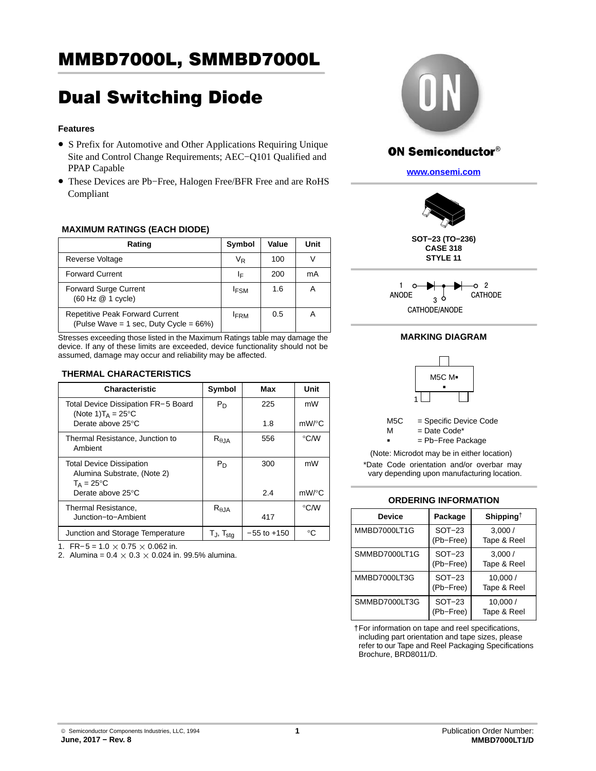# MMBD7000L, SMMBD7000L

# Dual Switching Diode

## **Features**

- S Prefix for Automotive and Other Applications Requiring Unique Site and Control Change Requirements; AEC−Q101 Qualified and PPAP Capable
- These Devices are Pb−Free, Halogen Free/BFR Free and are RoHS Compliant

## **MAXIMUM RATINGS (EACH DIODE)**

| Rating                                                                               | Symbol      | Value | Unit |
|--------------------------------------------------------------------------------------|-------------|-------|------|
| Reverse Voltage                                                                      | VR          | 100   | V    |
| <b>Forward Current</b>                                                               | ΙF          | 200   | mA   |
| <b>Forward Surge Current</b><br>(60 Hz @ 1 cycle)                                    | <b>IFSM</b> | 1.6   | Α    |
| <b>Repetitive Peak Forward Current</b><br>(Pulse Wave = 1 sec, Duty Cycle = $66\%$ ) | <b>IFRM</b> | 0.5   | А    |

Stresses exceeding those listed in the Maximum Ratings table may damage the device. If any of these limits are exceeded, device functionality should not be assumed, damage may occur and reliability may be affected.

#### **THERMAL CHARACTERISTICS**

| <b>Characteristic</b>                                                           | Symbol              | Max             | Unit               |
|---------------------------------------------------------------------------------|---------------------|-----------------|--------------------|
| Total Device Dissipation FR-5 Board<br>(Note 1) $T_A = 25^{\circ}$ C            | $P_D$               | 225             | mW                 |
| Derate above 25°C                                                               |                     | 1.8             | $mW$ /°C           |
| Thermal Resistance, Junction to<br>Ambient                                      | $R_{\theta JA}$     | 556             | $\rm ^{\circ}$ C/W |
| <b>Total Device Dissipation</b><br>Alumina Substrate, (Note 2)<br>$T_A = 25$ °C | $P_D$               | 300             | mW                 |
| Derate above 25°C                                                               |                     | 2.4             | $mW$ /°C           |
| Thermal Resistance,                                                             | $R_{\theta$ JA      |                 | $\rm ^{\circ}$ C/W |
| Junction-to-Ambient                                                             |                     | 417             |                    |
| Junction and Storage Temperature                                                | T」,T <sub>sta</sub> | $-55$ to $+150$ | °€                 |

1. FR-5 =  $1.0 \times 0.75 \times 0.062$  in.

2. Alumina =  $0.4 \times 0.3 \times 0.024$  in. 99.5% alumina.



## **ON Semiconductor®**

**[www.onsemi.com](http://www.onsemi.com/)**



**SOT−23 (TO−236) CASE 318 STYLE 11**



## **MARKING DIAGRAM**



 $=$  Date Code\*

 $\mathsf{M}$ 

= Pb−Free Package

\*Date Code orientation and/or overbar may vary depending upon manufacturing location. (Note: Microdot may be in either location)

#### **ORDERING INFORMATION**

| <b>Device</b> | Package                    | Shipping <sup>†</sup>  |
|---------------|----------------------------|------------------------|
| MMBD7000LT1G  | $SOT-23$<br>(Pb-Free)      | 3,000/<br>Tape & Reel  |
| SMMBD7000LT1G | <b>SOT-23</b><br>(Pb-Free) | 3,000/<br>Tape & Reel  |
| MMBD7000LT3G  | <b>SOT-23</b><br>(Pb-Free) | 10,000/<br>Tape & Reel |
| SMMBD7000LT3G | SOT-23<br>(Pb-Free)        | 10,000/<br>Tape & Reel |

†For information on tape and reel specifications, including part orientation and tape sizes, please refer to our Tape and Reel Packaging Specifications Brochure, BRD8011/D.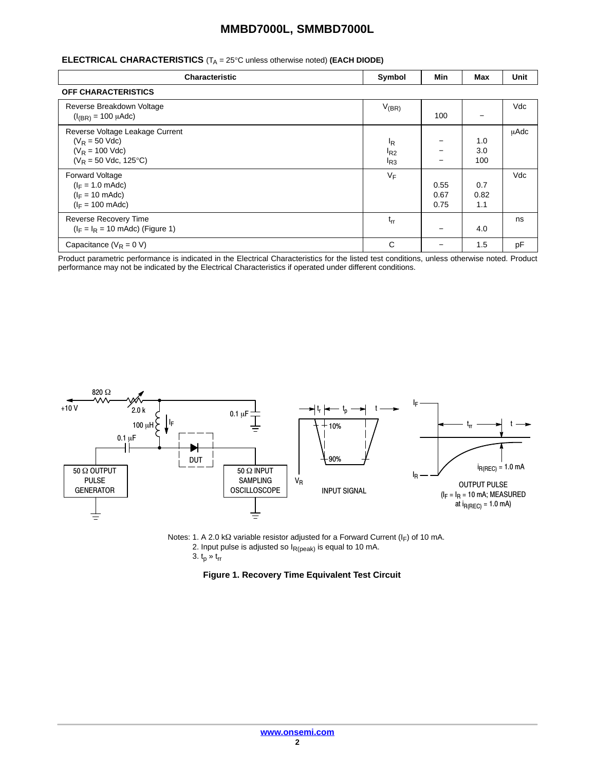## **MMBD7000L, SMMBD7000L**

## **ELECTRICAL CHARACTERISTICS** (T<sub>A</sub> = 25°C unless otherwise noted) (EACH DIODE)

| <b>Characteristic</b>                                                                                              | Symbol                                 | <b>Min</b>           | Max                | Unit |
|--------------------------------------------------------------------------------------------------------------------|----------------------------------------|----------------------|--------------------|------|
| <b>OFF CHARACTERISTICS</b>                                                                                         |                                        |                      |                    |      |
| Reverse Breakdown Voltage<br>$(I_{(BR)} = 100 \mu A d c)$                                                          | $V_{(BR)}$                             | 100                  |                    | Vdc  |
| Reverse Voltage Leakage Current<br>$(V_R = 50$ Vdc)<br>$(V_R = 100$ Vdc)<br>$(V_R = 50$ Vdc, 125°C)                | <sup>I</sup> R<br>$I_{R2}$<br>$I_{R3}$ |                      | 1.0<br>3.0<br>100  | uAdc |
| <b>Forward Voltage</b><br>$(I_F = 1.0 \text{ m}$ Adc)<br>$(I_F = 10 \text{ m}$ Adc)<br>$(I_F = 100 \text{ m}$ Adc) | VF                                     | 0.55<br>0.67<br>0.75 | 0.7<br>0.82<br>1.1 | Vdc  |
| <b>Reverse Recovery Time</b><br>$(I_F = I_R = 10 \text{ m}$ Adc) (Figure 1)                                        | $t_{rr}$                               |                      | 4.0                | ns   |
| Capacitance ( $V_R = 0 V$ )                                                                                        | C                                      |                      | 1.5                | pF   |

Product parametric performance is indicated in the Electrical Characteristics for the listed test conditions, unless otherwise noted. Product performance may not be indicated by the Electrical Characteristics if operated under different conditions.



Notes: 1. A 2.0 k $\Omega$  variable resistor adjusted for a Forward Current (I<sub>F</sub>) of 10 mA. 2. Input pulse is adjusted so  $I_{R(peak)}$  is equal to 10 mA.

3.  $t_p * t_{rr}$ 

**Figure 1. Recovery Time Equivalent Test Circuit**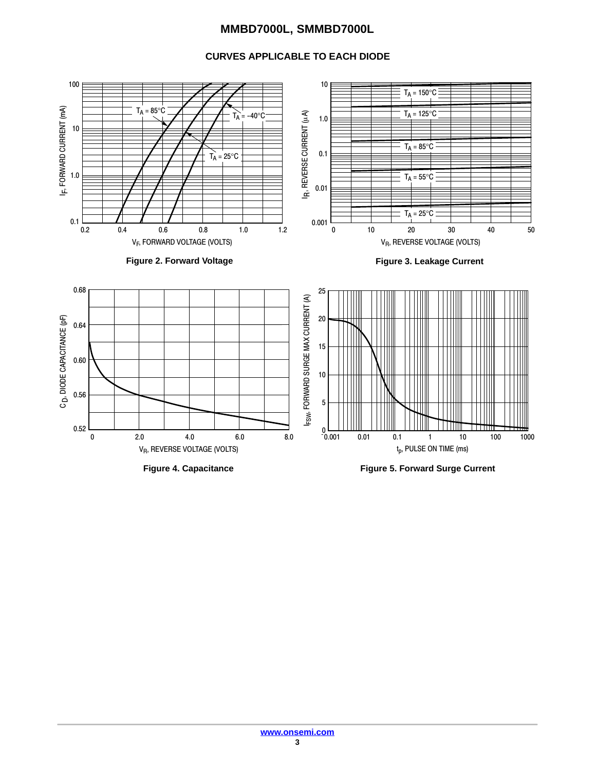## **MMBD7000L, SMMBD7000L**

## **CURVES APPLICABLE TO EACH DIODE**



**Figure 4. Capacitance**

**Figure 5. Forward Surge Current**